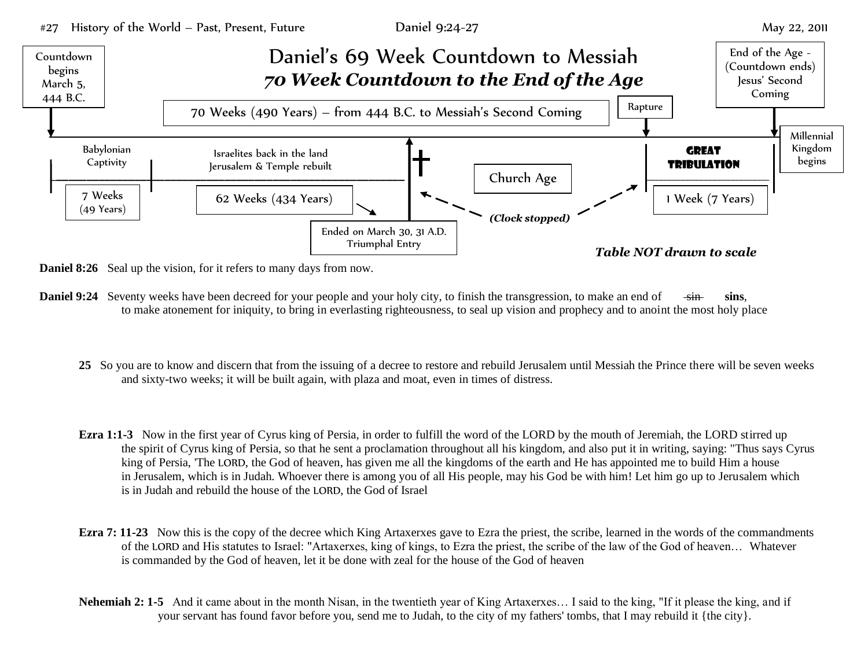

- **Daniel 8:26** Seal up the vision, for it refers to many days from now.
- **Daniel 9:24** Seventy weeks have been decreed for your people and your holy city, to finish the transgression, to make an end of sin sins, to make atonement for iniquity, to bring in everlasting righteousness, to seal up vision and prophecy and to anoint the most holy place
	- **25** So you are to know and discern that from the issuing of a decree to restore and rebuild Jerusalem until Messiah the Prince there will be seven weeks and sixty-two weeks; it will be built again, with plaza and moat, even in times of distress.
	- **Ezra 1:1-3** Now in the first year of Cyrus king of Persia, in order to fulfill the word of the LORD by the mouth of Jeremiah, the LORD stirred up the spirit of Cyrus king of Persia, so that he sent a proclamation throughout all his kingdom, and also put it in writing, saying: "Thus says Cyrus king of Persia, 'The LORD, the God of heaven, has given me all the kingdoms of the earth and He has appointed me to build Him a house in Jerusalem, which is in Judah. Whoever there is among you of all His people, may his God be with him! Let him go up to Jerusalem which is in Judah and rebuild the house of the LORD, the God of Israel
	- **Ezra 7: 11-23** Now this is the copy of the decree which King Artaxerxes gave to Ezra the priest, the scribe, learned in the words of the commandments of the LORD and His statutes to Israel: "Artaxerxes, king of kings, to Ezra the priest, the scribe of the law of the God of heaven… Whatever is commanded by the God of heaven, let it be done with zeal for the house of the God of heaven
	- **Nehemiah 2: 1-5** And it came about in the month Nisan, in the twentieth year of King Artaxerxes... I said to the king, "If it please the king, and if your servant has found favor before you, send me to Judah, to the city of my fathers' tombs, that I may rebuild it {the city}.